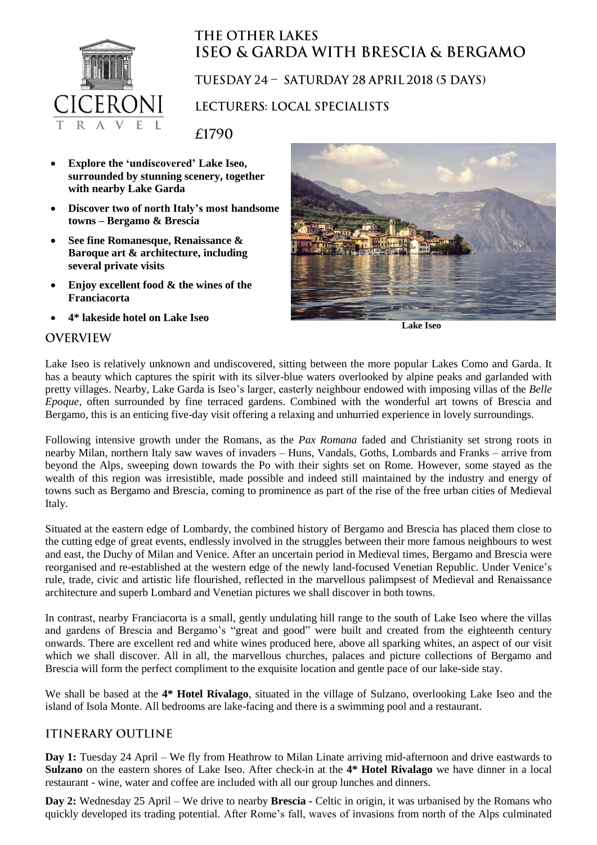

# **THE OTHER LAKES ISEO & GARDA WITH BRESCIA & BERGAMO**

### TUESDAY 24 - SATURDAY 28 APRIL 2018 (5 DAYS)

## LECTURERS: LOCAL SPECIALISTS

£1790

- **Explore the 'undiscovered' Lake Iseo, surrounded by stunning scenery, together with nearby Lake Garda**
- **Discover two of north Italy's most handsome towns – Bergamo & Brescia**
- **See fine Romanesque, Renaissance & Baroque art & architecture, including several private visits**
- **Enjoy excellent food & the wines of the Franciacorta**
- **4\* lakeside hotel on Lake Iseo**



**Lake Iseo**

#### **OVERVIEW**

Lake Iseo is relatively unknown and undiscovered, sitting between the more popular Lakes Como and Garda. It has a beauty which captures the spirit with its silver-blue waters overlooked by alpine peaks and garlanded with pretty villages. Nearby, Lake Garda is Iseo's larger, easterly neighbour endowed with imposing villas of the *Belle Epoque*, often surrounded by fine terraced gardens. Combined with the wonderful art towns of Brescia and Bergamo, this is an enticing five-day visit offering a relaxing and unhurried experience in lovely surroundings.

Following intensive growth under the Romans, as the *Pax Romana* faded and Christianity set strong roots in nearby Milan, northern Italy saw waves of invaders – Huns, Vandals, Goths, Lombards and Franks – arrive from beyond the Alps, sweeping down towards the Po with their sights set on Rome. However, some stayed as the wealth of this region was irresistible, made possible and indeed still maintained by the industry and energy of towns such as Bergamo and Brescia, coming to prominence as part of the rise of the free urban cities of Medieval Italy.

Situated at the eastern edge of Lombardy, the combined history of Bergamo and Brescia has placed them close to the cutting edge of great events, endlessly involved in the struggles between their more famous neighbours to west and east, the Duchy of Milan and Venice. After an uncertain period in Medieval times, Bergamo and Brescia were reorganised and re-established at the western edge of the newly land-focused Venetian Republic. Under Venice's rule, trade, civic and artistic life flourished, reflected in the marvellous palimpsest of Medieval and Renaissance architecture and superb Lombard and Venetian pictures we shall discover in both towns.

In contrast, nearby Franciacorta is a small, gently undulating hill range to the south of Lake Iseo where the villas and gardens of Brescia and Bergamo's "great and good" were built and created from the eighteenth century onwards. There are excellent red and white wines produced here, above all sparking whites, an aspect of our visit which we shall discover. All in all, the marvellous churches, palaces and picture collections of Bergamo and Brescia will form the perfect compliment to the exquisite location and gentle pace of our lake**-**side stay.

We shall be based at the **4\* Hotel Rivalago**, situated in the village of Sulzano, overlooking Lake Iseo and the island of Isola Monte. All bedrooms are lake-facing and there is a swimming pool and a restaurant.

## **ITINERARY OUTLINE**

**Day 1:** Tuesday 24 April – We fly from Heathrow to Milan Linate arriving mid-afternoon and drive eastwards to **Sulzano** on the eastern shores of Lake Iseo. After check-in at the **4\* Hotel Rivalago** we have dinner in a local restaurant - wine, water and coffee are included with all our group lunches and dinners.

**Day 2:** Wednesday 25 April – We drive to nearby **Brescia -** Celtic in origin, it was urbanised by the Romans who quickly developed its trading potential. After Rome's fall, waves of invasions from north of the Alps culminated